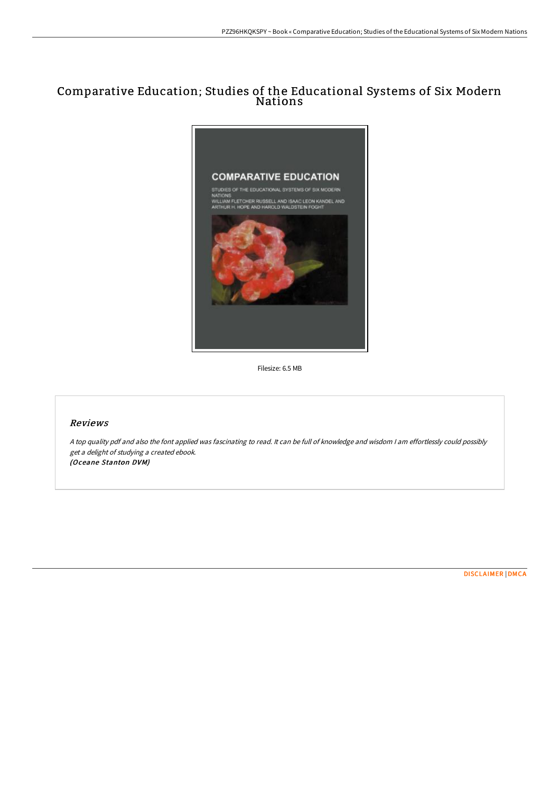## Comparative Education; Studies of the Educational Systems of Six Modern Nations



Filesize: 6.5 MB

## Reviews

<sup>A</sup> top quality pdf and also the font applied was fascinating to read. It can be full of knowledge and wisdom <sup>I</sup> am effortlessly could possibly get <sup>a</sup> delight of studying <sup>a</sup> created ebook. (Oceane Stanton DVM)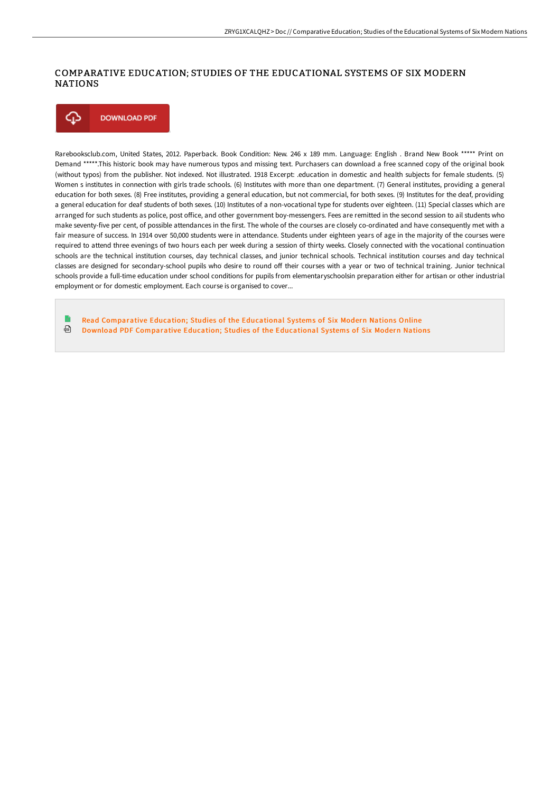## COMPARATIVE EDUCATION; STUDIES OF THE EDUCATIONAL SYSTEMS OF SIX MODERN NATIONS



Rarebooksclub.com, United States, 2012. Paperback. Book Condition: New. 246 x 189 mm. Language: English . Brand New Book \*\*\*\*\* Print on Demand \*\*\*\*\*.This historic book may have numerous typos and missing text. Purchasers can download a free scanned copy of the original book (without typos) from the publisher. Not indexed. Not illustrated. 1918 Excerpt: .education in domestic and health subjects for female students. (5) Women s institutes in connection with girls trade schools. (6) Institutes with more than one department. (7) General institutes, providing a general education for both sexes. (8) Free institutes, providing a general education, but not commercial, for both sexes. (9) Institutes for the deaf, providing a general education for deaf students of both sexes. (10) Institutes of a non-vocational type for students over eighteen. (11) Special classes which are arranged for such students as police, post office, and other government boy-messengers. Fees are remitted in the second session to ail students who make seventy-five per cent, of possible attendances in the first. The whole of the courses are closely co-ordinated and have consequently met with a fair measure of success. In 1914 over 50,000 students were in attendance. Students under eighteen years of age in the majority of the courses were required to attend three evenings of two hours each per week during a session of thirty weeks. Closely connected with the vocational continuation schools are the technical institution courses, day technical classes, and junior technical schools. Technical institution courses and day technical classes are designed for secondary-school pupils who desire to round off their courses with a year or two of technical training. Junior technical schools provide a full-time education under school conditions for pupils from elementaryschoolsin preparation either for artisan or other industrial employment or for domestic employment. Each course is organised to cover...

Read [Comparative](http://techno-pub.tech/comparative-education-studies-of-the-educational.html) Education; Studies of the Educational Systems of Six Modern Nations Online ⊕ Download PDF [Comparative](http://techno-pub.tech/comparative-education-studies-of-the-educational.html) Education; Studies of the Educational Systems of Six Modern Nations